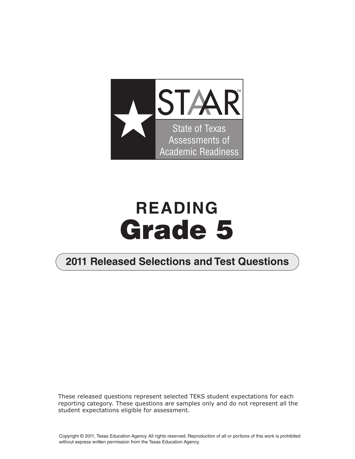

# **READING Grade 5**

### **2011 Released Selections and Test Questions**

These released questions represent selected TEKS student expectations for each reporting category. These questions are samples only and do not represent all the student expectations eligible for assessment.

Copyright © 2011, Texas Education Agency. All rights reserved. Reproduction of all or portions of this work is prohibited without express written permission from the Texas Education Agency.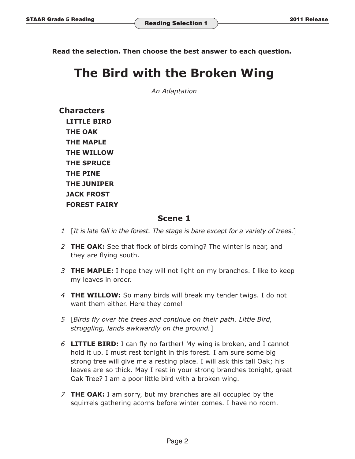**Read the selection. Then choose the best answer to each question.** 

## **The Bird with the Broken Wing**

*An Adaptation* 

**Characters LITTLE BIRD THE OAK THE MAPLE THE WILLOW THE SPRUCE THE PINE THE JUNIPER JACK FROST FOREST FAIRY** 

#### **Scene 1**

- *1*  [*It is late fall in the forest. The stage is bare except for a variety of trees.*]
- *2* **THE OAK:** See that flock of birds coming? The winter is near, and they are flying south.
- *3* **THE MAPLE:** I hope they will not light on my branches. I like to keep my leaves in order.
- *4* **THE WILLOW:** So many birds will break my tender twigs. I do not want them either. Here they come!
- *5* [*Birds fly over the trees and continue on their path. Little Bird, struggling, lands awkwardly on the ground.*]
- *6* **LITTLE BIRD:** I can fly no farther! My wing is broken, and I cannot hold it up. I must rest tonight in this forest. I am sure some big strong tree will give me a resting place. I will ask this tall Oak; his leaves are so thick. May I rest in your strong branches tonight, great Oak Tree? I am a poor little bird with a broken wing.
- *7* **THE OAK:** I am sorry, but my branches are all occupied by the squirrels gathering acorns before winter comes. I have no room.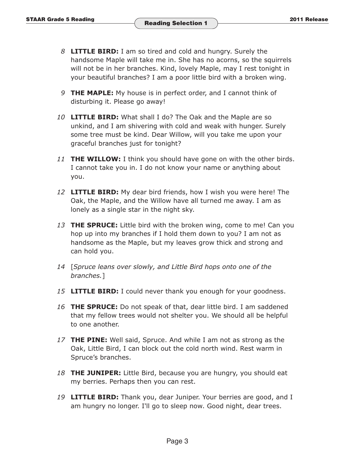- 8 **LITTLE BIRD:** I am so tired and cold and hungry. Surely the handsome Maple will take me in. She has no acorns, so the squirrels will not be in her branches. Kind, lovely Maple, may I rest tonight in your beautiful branches? I am a poor little bird with a broken wing.
- **9 THE MAPLE:** My house is in perfect order, and I cannot think of disturbing it. Please go away!
- 10 **LITTLE BIRD:** What shall I do? The Oak and the Maple are so unkind, and I am shivering with cold and weak with hunger. Surely some tree must be kind. Dear Willow, will you take me upon your graceful branches just for tonight?
- 11 **THE WILLOW:** I think you should have gone on with the other birds. I cannot take you in. I do not know your name or anything about you.
- 12 **LITTLE BIRD:** My dear bird friends, how I wish you were here! The Oak, the Maple, and the Willow have all turned me away. I am as lonely as a single star in the night sky.
- *13* **THE SPRUCE:** Little bird with the broken wing, come to me! Can you hop up into my branches if I hold them down to you? I am not as handsome as the Maple, but my leaves grow thick and strong and can hold you.
- *14* [*Spruce leans over slowly, and Little Bird hops onto one of the branches.*]
- 15 **LITTLE BIRD:** I could never thank you enough for your goodness.
- *16* **THE SPRUCE:** Do not speak of that, dear little bird. I am saddened that my fellow trees would not shelter you. We should all be helpful to one another.
- *17* **THE PINE:** Well said, Spruce. And while I am not as strong as the Oak, Little Bird, I can block out the cold north wind. Rest warm in Spruce's branches.
- 18 **THE JUNIPER:** Little Bird, because you are hungry, you should eat my berries. Perhaps then you can rest.
- 19 **LITTLE BIRD:** Thank you, dear Juniper. Your berries are good, and I am hungry no longer. I'll go to sleep now. Good night, dear trees.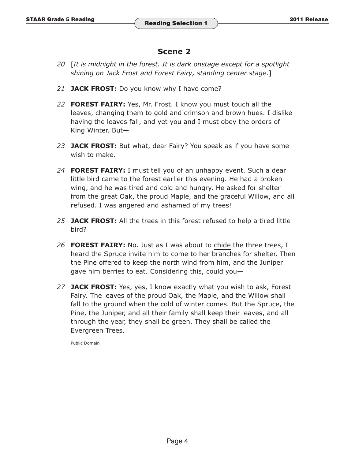#### **Scene 2**

- *20* [*It is midnight in the forest. It is dark onstage except for a spotlight shining on Jack Frost and Forest Fairy, standing center stage.*]
- 21 **JACK FROST:** Do you know why I have come?
- *22* **FOREST FAIRY:** Yes, Mr. Frost. I know you must touch all the leaves, changing them to gold and crimson and brown hues. I dislike having the leaves fall, and yet you and I must obey the orders of King Winter. But—
- *23* **JACK FROST:** But what, dear Fairy? You speak as if you have some wish to make.
- 24 **FOREST FAIRY:** I must tell you of an unhappy event. Such a dear little bird came to the forest earlier this evening. He had a broken wing, and he was tired and cold and hungry. He asked for shelter from the great Oak, the proud Maple, and the graceful Willow, and all refused. I was angered and ashamed of my trees!
- 25 **JACK FROST:** All the trees in this forest refused to help a tired little bird?
- 26 **FOREST FAIRY:** No. Just as I was about to chide the three trees, I heard the Spruce invite him to come to her branches for shelter. Then the Pine offered to keep the north wind from him, and the Juniper gave him berries to eat. Considering this, could you—
- *27* **JACK FROST:** Yes, yes, I know exactly what you wish to ask, Forest Fairy. The leaves of the proud Oak, the Maple, and the Willow shall fall to the ground when the cold of winter comes. But the Spruce, the Pine, the Juniper, and all their family shall keep their leaves, and all through the year, they shall be green. They shall be called the Evergreen Trees.

Public Domain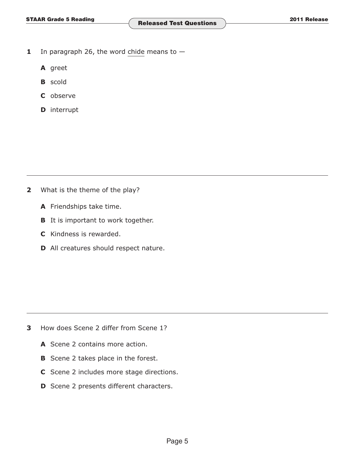- **1** In paragraph 26, the word chide means to  $-$ 
	- **A** greet
	- **B** scold
	- **C** observe
	- **D** interrupt

- **2** What is the theme of the play?
	- **A** Friendships take time.
	- **B** It is important to work together.
	- **C** Kindness is rewarded.
	- **D** All creatures should respect nature.

- **3** How does Scene 2 differ from Scene 1?
	- **A** Scene 2 contains more action.
	- **B** Scene 2 takes place in the forest.
	- **C** Scene 2 includes more stage directions.
	- **D** Scene 2 presents different characters.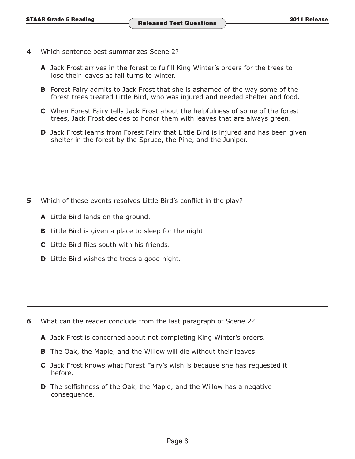- **4** Which sentence best summarizes Scene 2?
	- **A** Jack Frost arrives in the forest to fulfill King Winter's orders for the trees to lose their leaves as fall turns to winter.
	- **B** Forest Fairy admits to Jack Frost that she is ashamed of the way some of the forest trees treated Little Bird, who was injured and needed shelter and food.
	- **C** When Forest Fairy tells Jack Frost about the helpfulness of some of the forest trees, Jack Frost decides to honor them with leaves that are always green.
	- **D** Jack Frost learns from Forest Fairy that Little Bird is injured and has been given shelter in the forest by the Spruce, the Pine, and the Juniper.

- **5** Which of these events resolves Little Bird's conflict in the play?
	- **A** Little Bird lands on the ground.
	- **B** Little Bird is given a place to sleep for the night.
	- **C** Little Bird flies south with his friends.
	- **D** Little Bird wishes the trees a good night.

- **6** What can the reader conclude from the last paragraph of Scene 2?
	- **A** Jack Frost is concerned about not completing King Winter's orders.
	- **B** The Oak, the Maple, and the Willow will die without their leaves.
	- **C** Jack Frost knows what Forest Fairy's wish is because she has requested it before.
	- **D** The selfishness of the Oak, the Maple, and the Willow has a negative consequence.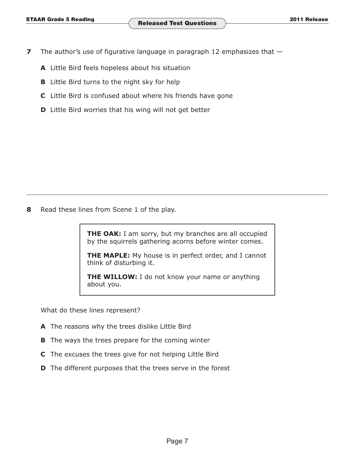- **7** The author's use of figurative language in paragraph 12 emphasizes that  $-$ 
	- **A** Little Bird feels hopeless about his situation
	- **B** Little Bird turns to the night sky for help
	- **C** Little Bird is confused about where his friends have gone
	- **D** Little Bird worries that his wing will not get better

**8** Read these lines from Scene 1 of the play.

**THE OAK:** I am sorry, but my branches are all occupied by the squirrels gathering acorns before winter comes.

**THE MAPLE:** My house is in perfect order, and I cannot think of disturbing it.

**THE WILLOW:** I do not know your name or anything about you.

What do these lines represent?

- **A** The reasons why the trees dislike Little Bird
- **B** The ways the trees prepare for the coming winter
- **C** The excuses the trees give for not helping Little Bird
- **D** The different purposes that the trees serve in the forest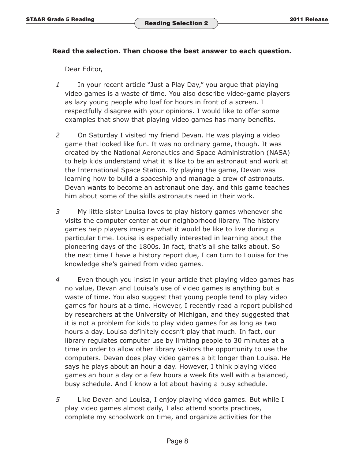#### **Read the selection. Then choose the best answer to each question.**

Dear Editor,

- *1* In your recent article "Just a Play Day," you argue that playing video games is a waste of time. You also describe video-game players as lazy young people who loaf for hours in front of a screen. I respectfully disagree with your opinions. I would like to offer some examples that show that playing video games has many benefits.
- *2* On Saturday I visited my friend Devan. He was playing a video game that looked like fun. It was no ordinary game, though. It was created by the National Aeronautics and Space Administration (NASA) to help kids understand what it is like to be an astronaut and work at the International Space Station. By playing the game, Devan was learning how to build a spaceship and manage a crew of astronauts. Devan wants to become an astronaut one day, and this game teaches him about some of the skills astronauts need in their work.
- *3* My little sister Louisa loves to play history games whenever she visits the computer center at our neighborhood library. The history games help players imagine what it would be like to live during a particular time. Louisa is especially interested in learning about the pioneering days of the 1800s. In fact, that's all she talks about. So the next time I have a history report due, I can turn to Louisa for the knowledge she's gained from video games.
- *4* Even though you insist in your article that playing video games has no value, Devan and Louisa's use of video games is anything but a waste of time. You also suggest that young people tend to play video games for hours at a time. However, I recently read a report published by researchers at the University of Michigan, and they suggested that it is not a problem for kids to play video games for as long as two hours a day. Louisa definitely doesn't play that much. In fact, our library regulates computer use by limiting people to 30 minutes at a time in order to allow other library visitors the opportunity to use the computers. Devan does play video games a bit longer than Louisa. He says he plays about an hour a day. However, I think playing video games an hour a day or a few hours a week fits well with a balanced, busy schedule. And I know a lot about having a busy schedule.
- *5* Like Devan and Louisa, I enjoy playing video games. But while I play video games almost daily, I also attend sports practices, complete my schoolwork on time, and organize activities for the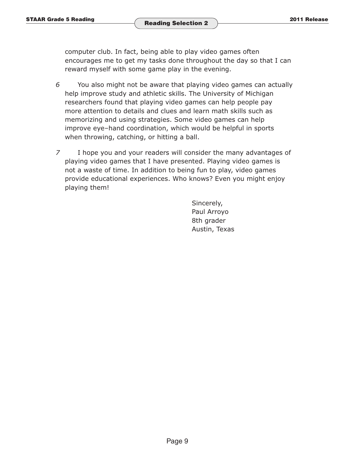computer club. In fact, being able to play video games often encourages me to get my tasks done throughout the day so that I can reward myself with some game play in the evening.

- *6* You also might not be aware that playing video games can actually help improve study and athletic skills. The University of Michigan researchers found that playing video games can help people pay more attention to details and clues and learn math skills such as memorizing and using strategies. Some video games can help improve eye–hand coordination, which would be helpful in sports when throwing, catching, or hitting a ball.
- *7* I hope you and your readers will consider the many advantages of playing video games that I have presented. Playing video games is not a waste of time. In addition to being fun to play, video games provide educational experiences. Who knows? Even you might enjoy playing them!

Sincerely, Paul Arroyo 8th grader Austin, Texas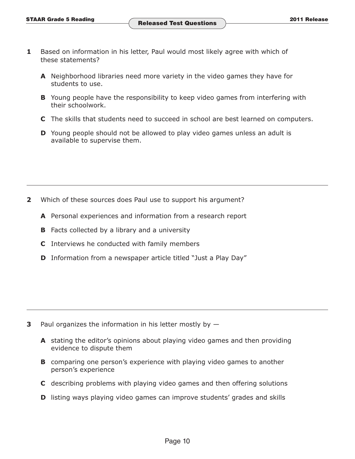- **1** Based on information in his letter, Paul would most likely agree with which of these statements?
	- **A** Neighborhood libraries need more variety in the video games they have for students to use.
	- **B** Young people have the responsibility to keep video games from interfering with their schoolwork.
	- **C** The skills that students need to succeed in school are best learned on computers.
	- **D** Young people should not be allowed to play video games unless an adult is available to supervise them.

- **2** Which of these sources does Paul use to support his argument?
	- **A** Personal experiences and information from a research report
	- **B** Facts collected by a library and a university
	- **C** Interviews he conducted with family members
	- **D** Information from a newspaper article titled "Just a Play Day"

- **3** Paul organizes the information in his letter mostly by  $-$ 
	- **A** stating the editor's opinions about playing video games and then providing evidence to dispute them
	- **B** comparing one person's experience with playing video games to another person's experience
	- **C** describing problems with playing video games and then offering solutions
	- **D** listing ways playing video games can improve students' grades and skills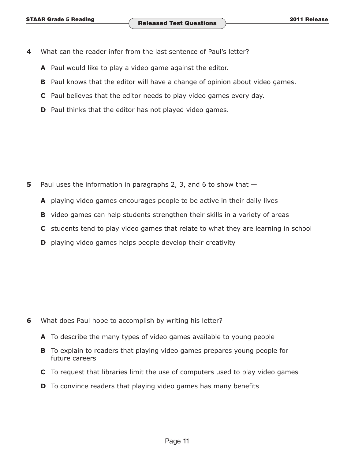- **4** What can the reader infer from the last sentence of Paul's letter?
	- **A** Paul would like to play a video game against the editor.
	- **B** Paul knows that the editor will have a change of opinion about video games.
	- **C** Paul believes that the editor needs to play video games every day.
	- **D** Paul thinks that the editor has not played video games.

- **5** Paul uses the information in paragraphs 2, 3, and 6 to show that  $-$ 
	- **A** playing video games encourages people to be active in their daily lives
	- **B** video games can help students strengthen their skills in a variety of areas
	- **C** students tend to play video games that relate to what they are learning in school
	- **D** playing video games helps people develop their creativity

- **6** What does Paul hope to accomplish by writing his letter?
	- **A** To describe the many types of video games available to young people
	- **B** To explain to readers that playing video games prepares young people for future careers
	- **C** To request that libraries limit the use of computers used to play video games
	- **D** To convince readers that playing video games has many benefits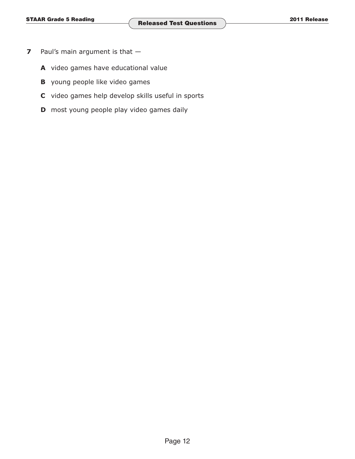- **7** Paul's main argument is that -
	- **A** video games have educational value
	- **B** young people like video games
	- **C** video games help develop skills useful in sports
	- **D** most young people play video games daily